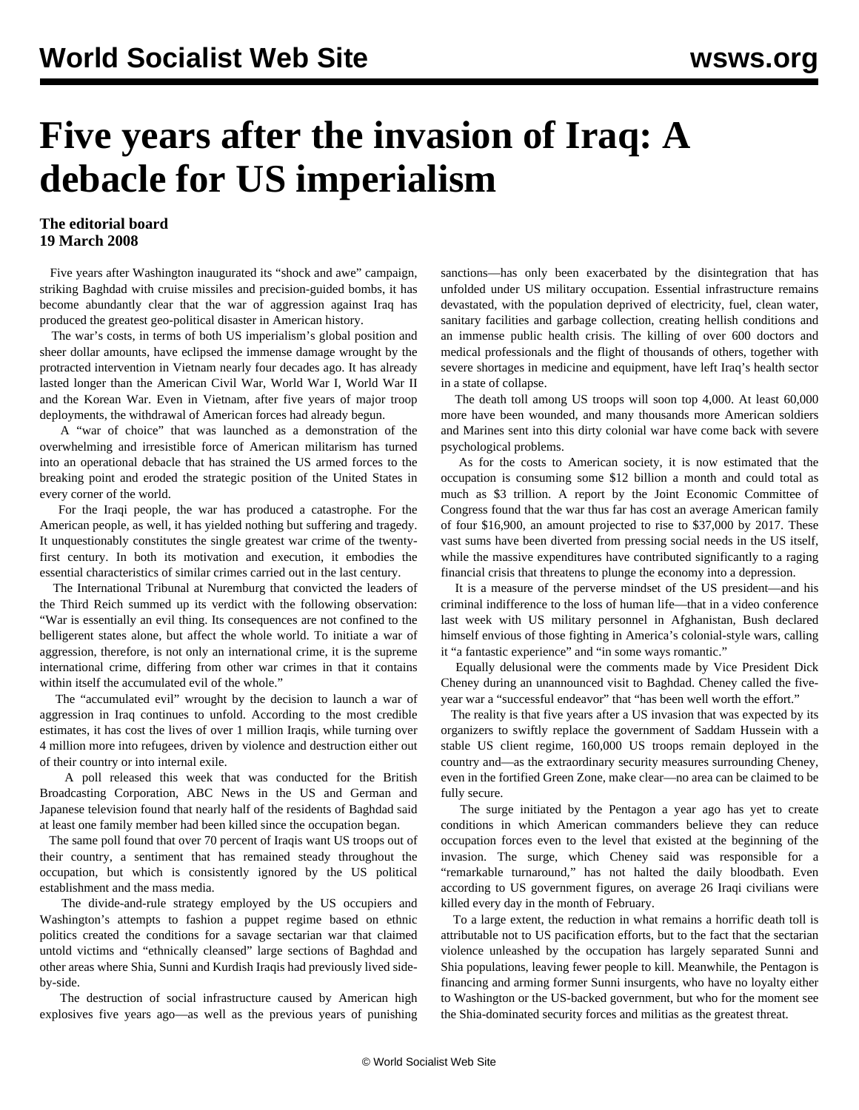## **Five years after the invasion of Iraq: A debacle for US imperialism**

## **The editorial board 19 March 2008**

 Five years after Washington inaugurated its "shock and awe" campaign, striking Baghdad with cruise missiles and precision-guided bombs, it has become abundantly clear that the war of aggression against Iraq has produced the greatest geo-political disaster in American history.

 The war's costs, in terms of both US imperialism's global position and sheer dollar amounts, have eclipsed the immense damage wrought by the protracted intervention in Vietnam nearly four decades ago. It has already lasted longer than the American Civil War, World War I, World War II and the Korean War. Even in Vietnam, after five years of major troop deployments, the withdrawal of American forces had already begun.

 A "war of choice" that was launched as a demonstration of the overwhelming and irresistible force of American militarism has turned into an operational debacle that has strained the US armed forces to the breaking point and eroded the strategic position of the United States in every corner of the world.

 For the Iraqi people, the war has produced a catastrophe. For the American people, as well, it has yielded nothing but suffering and tragedy. It unquestionably constitutes the single greatest war crime of the twentyfirst century. In both its motivation and execution, it embodies the essential characteristics of similar crimes carried out in the last century.

 The International Tribunal at Nuremburg that convicted the leaders of the Third Reich summed up its verdict with the following observation: "War is essentially an evil thing. Its consequences are not confined to the belligerent states alone, but affect the whole world. To initiate a war of aggression, therefore, is not only an international crime, it is the supreme international crime, differing from other war crimes in that it contains within itself the accumulated evil of the whole."

 The "accumulated evil" wrought by the decision to launch a war of aggression in Iraq continues to unfold. According to the most credible estimates, it has cost the lives of over 1 million Iraqis, while turning over 4 million more into refugees, driven by violence and destruction either out of their country or into internal exile.

 A poll released this week that was conducted for the British Broadcasting Corporation, ABC News in the US and German and Japanese television found that nearly half of the residents of Baghdad said at least one family member had been killed since the occupation began.

 The same poll found that over 70 percent of Iraqis want US troops out of their country, a sentiment that has remained steady throughout the occupation, but which is consistently ignored by the US political establishment and the mass media.

 The divide-and-rule strategy employed by the US occupiers and Washington's attempts to fashion a puppet regime based on ethnic politics created the conditions for a savage sectarian war that claimed untold victims and "ethnically cleansed" large sections of Baghdad and other areas where Shia, Sunni and Kurdish Iraqis had previously lived sideby-side.

 The destruction of social infrastructure caused by American high explosives five years ago—as well as the previous years of punishing

sanctions—has only been exacerbated by the disintegration that has unfolded under US military occupation. Essential infrastructure remains devastated, with the population deprived of electricity, fuel, clean water, sanitary facilities and garbage collection, creating hellish conditions and an immense public health crisis. The killing of over 600 doctors and medical professionals and the flight of thousands of others, together with severe shortages in medicine and equipment, have left Iraq's health sector in a state of collapse.

 The death toll among US troops will soon top 4,000. At least 60,000 more have been wounded, and many thousands more American soldiers and Marines sent into this dirty colonial war have come back with severe psychological problems.

 As for the costs to American society, it is now estimated that the occupation is consuming some \$12 billion a month and could total as much as \$3 trillion. A report by the Joint Economic Committee of Congress found that the war thus far has cost an average American family of four \$16,900, an amount projected to rise to \$37,000 by 2017. These vast sums have been diverted from pressing social needs in the US itself, while the massive expenditures have contributed significantly to a raging financial crisis that threatens to plunge the economy into a depression.

 It is a measure of the perverse mindset of the US president—and his criminal indifference to the loss of human life—that in a video conference last week with US military personnel in Afghanistan, Bush declared himself envious of those fighting in America's colonial-style wars, calling it "a fantastic experience" and "in some ways romantic."

 Equally delusional were the comments made by Vice President Dick Cheney during an unannounced visit to Baghdad. Cheney called the fiveyear war a "successful endeavor" that "has been well worth the effort."

 The reality is that five years after a US invasion that was expected by its organizers to swiftly replace the government of Saddam Hussein with a stable US client regime, 160,000 US troops remain deployed in the country and—as the extraordinary security measures surrounding Cheney, even in the fortified Green Zone, make clear—no area can be claimed to be fully secure.

 The surge initiated by the Pentagon a year ago has yet to create conditions in which American commanders believe they can reduce occupation forces even to the level that existed at the beginning of the invasion. The surge, which Cheney said was responsible for a "remarkable turnaround," has not halted the daily bloodbath. Even according to US government figures, on average 26 Iraqi civilians were killed every day in the month of February.

 To a large extent, the reduction in what remains a horrific death toll is attributable not to US pacification efforts, but to the fact that the sectarian violence unleashed by the occupation has largely separated Sunni and Shia populations, leaving fewer people to kill. Meanwhile, the Pentagon is financing and arming former Sunni insurgents, who have no loyalty either to Washington or the US-backed government, but who for the moment see the Shia-dominated security forces and militias as the greatest threat.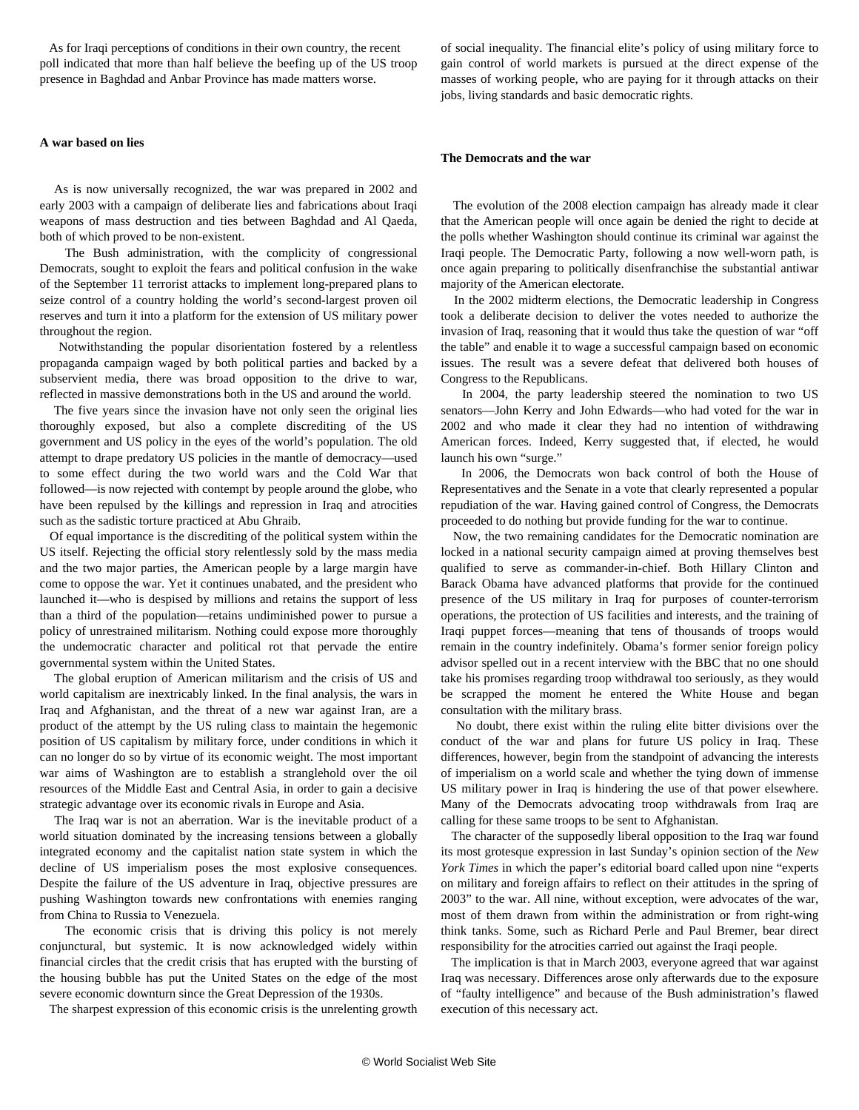As for Iraqi perceptions of conditions in their own country, the recent poll indicated that more than half believe the beefing up of the US troop presence in Baghdad and Anbar Province has made matters worse.

## **A war based on lies**

 As is now universally recognized, the war was prepared in 2002 and early 2003 with a campaign of deliberate lies and fabrications about Iraqi weapons of mass destruction and ties between Baghdad and Al Qaeda, both of which proved to be non-existent.

 The Bush administration, with the complicity of congressional Democrats, sought to exploit the fears and political confusion in the wake of the September 11 terrorist attacks to implement long-prepared plans to seize control of a country holding the world's second-largest proven oil reserves and turn it into a platform for the extension of US military power throughout the region.

 Notwithstanding the popular disorientation fostered by a relentless propaganda campaign waged by both political parties and backed by a subservient media, there was broad opposition to the drive to war, reflected in massive demonstrations both in the US and around the world.

 The five years since the invasion have not only seen the original lies thoroughly exposed, but also a complete discrediting of the US government and US policy in the eyes of the world's population. The old attempt to drape predatory US policies in the mantle of democracy—used to some effect during the two world wars and the Cold War that followed—is now rejected with contempt by people around the globe, who have been repulsed by the killings and repression in Iraq and atrocities such as the sadistic torture practiced at Abu Ghraib.

 Of equal importance is the discrediting of the political system within the US itself. Rejecting the official story relentlessly sold by the mass media and the two major parties, the American people by a large margin have come to oppose the war. Yet it continues unabated, and the president who launched it—who is despised by millions and retains the support of less than a third of the population—retains undiminished power to pursue a policy of unrestrained militarism. Nothing could expose more thoroughly the undemocratic character and political rot that pervade the entire governmental system within the United States.

 The global eruption of American militarism and the crisis of US and world capitalism are inextricably linked. In the final analysis, the wars in Iraq and Afghanistan, and the threat of a new war against Iran, are a product of the attempt by the US ruling class to maintain the hegemonic position of US capitalism by military force, under conditions in which it can no longer do so by virtue of its economic weight. The most important war aims of Washington are to establish a stranglehold over the oil resources of the Middle East and Central Asia, in order to gain a decisive strategic advantage over its economic rivals in Europe and Asia.

 The Iraq war is not an aberration. War is the inevitable product of a world situation dominated by the increasing tensions between a globally integrated economy and the capitalist nation state system in which the decline of US imperialism poses the most explosive consequences. Despite the failure of the US adventure in Iraq, objective pressures are pushing Washington towards new confrontations with enemies ranging from China to Russia to Venezuela.

 The economic crisis that is driving this policy is not merely conjunctural, but systemic. It is now acknowledged widely within financial circles that the credit crisis that has erupted with the bursting of the housing bubble has put the United States on the edge of the most severe economic downturn since the Great Depression of the 1930s.

The sharpest expression of this economic crisis is the unrelenting growth

of social inequality. The financial elite's policy of using military force to gain control of world markets is pursued at the direct expense of the masses of working people, who are paying for it through attacks on their jobs, living standards and basic democratic rights.

## **The Democrats and the war**

 The evolution of the 2008 election campaign has already made it clear that the American people will once again be denied the right to decide at the polls whether Washington should continue its criminal war against the Iraqi people. The Democratic Party, following a now well-worn path, is once again preparing to politically disenfranchise the substantial antiwar majority of the American electorate.

 In the 2002 midterm elections, the Democratic leadership in Congress took a deliberate decision to deliver the votes needed to authorize the invasion of Iraq, reasoning that it would thus take the question of war "off the table" and enable it to wage a successful campaign based on economic issues. The result was a severe defeat that delivered both houses of Congress to the Republicans.

 In 2004, the party leadership steered the nomination to two US senators—John Kerry and John Edwards—who had voted for the war in 2002 and who made it clear they had no intention of withdrawing American forces. Indeed, Kerry suggested that, if elected, he would launch his own "surge."

 In 2006, the Democrats won back control of both the House of Representatives and the Senate in a vote that clearly represented a popular repudiation of the war. Having gained control of Congress, the Democrats proceeded to do nothing but provide funding for the war to continue.

 Now, the two remaining candidates for the Democratic nomination are locked in a national security campaign aimed at proving themselves best qualified to serve as commander-in-chief. Both Hillary Clinton and Barack Obama have advanced platforms that provide for the continued presence of the US military in Iraq for purposes of counter-terrorism operations, the protection of US facilities and interests, and the training of Iraqi puppet forces—meaning that tens of thousands of troops would remain in the country indefinitely. Obama's former senior foreign policy advisor spelled out in a recent interview with the BBC that no one should take his promises regarding troop withdrawal too seriously, as they would be scrapped the moment he entered the White House and began consultation with the military brass.

 No doubt, there exist within the ruling elite bitter divisions over the conduct of the war and plans for future US policy in Iraq. These differences, however, begin from the standpoint of advancing the interests of imperialism on a world scale and whether the tying down of immense US military power in Iraq is hindering the use of that power elsewhere. Many of the Democrats advocating troop withdrawals from Iraq are calling for these same troops to be sent to Afghanistan.

 The character of the supposedly liberal opposition to the Iraq war found its most grotesque expression in last Sunday's opinion section of the *New York Times* in which the paper's editorial board called upon nine "experts on military and foreign affairs to reflect on their attitudes in the spring of 2003" to the war. All nine, without exception, were advocates of the war, most of them drawn from within the administration or from right-wing think tanks. Some, such as Richard Perle and Paul Bremer, bear direct responsibility for the atrocities carried out against the Iraqi people.

 The implication is that in March 2003, everyone agreed that war against Iraq was necessary. Differences arose only afterwards due to the exposure of "faulty intelligence" and because of the Bush administration's flawed execution of this necessary act.